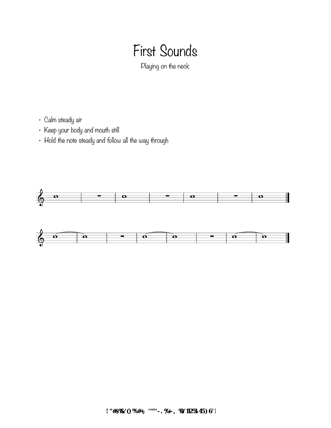## First Sounds

Playing on the neck

- Calm steady air
- Keep your body and mouth still
- Hold the note steady and follow all the way through



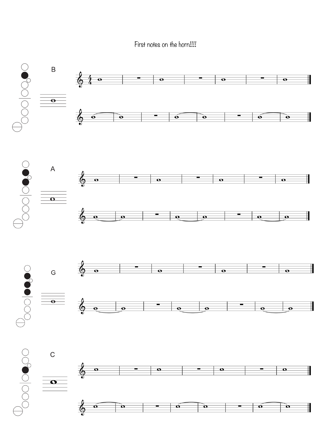First notes on the horn!!!!

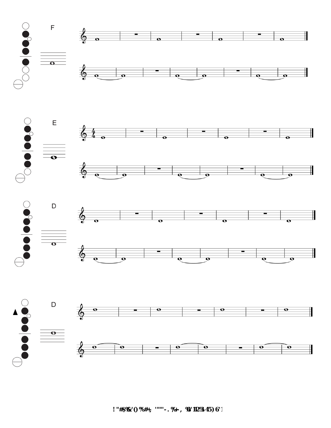







*u* "#\$%&'()%#+, '""'-. %+-, %O'112%345)6'1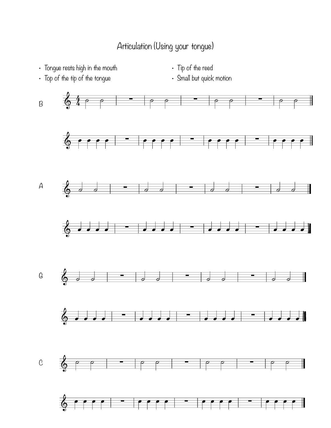## Articulation (Using your tongue)

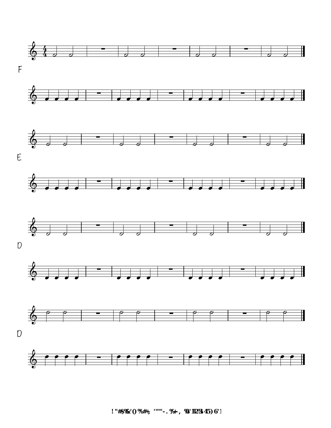

 $!$  "#\$%&'()%#+, '""'-. %+-, %O'112%345)6'1